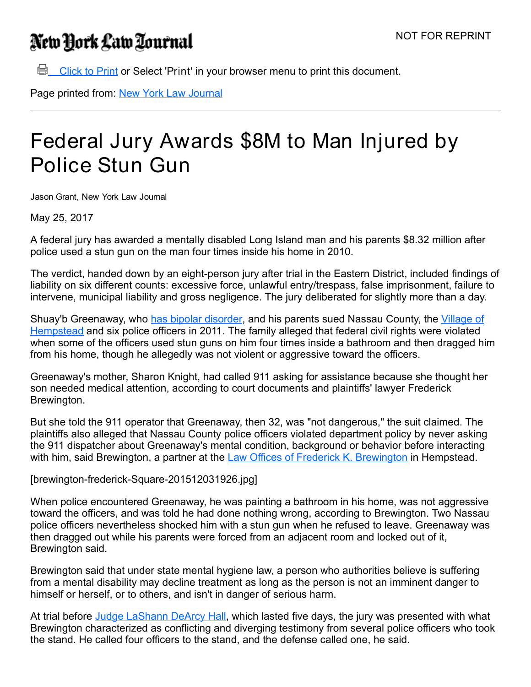## New York Law Tournal

**Click to Print or Select 'Print' in your browser menu to print this document.** 

Page printed from: New York Law [Journal](http://www.newyorklawjournal.com/)

## Federal Jury Awards \$8M to Man Injured by Police Stun Gun

Jason Grant, New York Law Journal

May 25, 2017

A federal jury has awarded a mentally disabled Long Island man and his parents \$8.32 million after police used a stun gun on the man four times inside his home in 2010.

The verdict, handed down by an eight-person jury after trial in the Eastern District, included findings of liability on six different counts: excessive force, unlawful entry/trespass, false imprisonment, failure to intervene, municipal liability and gross negligence. The jury deliberated for slightly more than a day.

Shuay'b [Greenaway,](https://www.villageofhempstead.org/) who has bipolar [disorder,](http://www.mayoclinic.org/diseases-conditions/bipolar-disorder/home/ovc-20307967) and his parents sued Nassau County, the Village of Hempstead and six police officers in 2011. The family alleged that federal civil rights were violated when some of the officers used stun guns on him four times inside a bathroom and then dragged him from his home, though he allegedly was not violent or aggressive toward the officers.

Greenaway's mother, Sharon Knight, had called 911 asking for assistance because she thought her son needed medical attention, according to court documents and plaintiffs' lawyer Frederick Brewington.

But she told the 911 operator that Greenaway, then 32, was "not dangerous," the suit claimed. The plaintiffs also alleged that Nassau County police officers violated department policy by never asking the 911 dispatcher about Greenaway's mental condition, background or behavior before interacting with him, said [Brewington](https://www.brewingtonlaw.com/attorneys-new-york-law-firm-civil-rights), a partner at the Law Offices of Frederick K. Brewington in Hempstead.

[brewington-frederick-Square-201512031926.jpg]

When police encountered Greenaway, he was painting a bathroom in his home, was not aggressive toward the officers, and was told he had done nothing wrong, according to Brewington. Two Nassau police officers nevertheless shocked him with a stun gun when he refused to leave. Greenaway was then dragged out while his parents were forced from an adjacent room and locked out of it, Brewington said.

Brewington said that under state mental hygiene law, a person who authorities believe is suffering from a mental disability may decline treatment as long as the person is not an imminent danger to himself or herself, or to others, and isn't in danger of serious harm.

At trial before Judge [LaShann](https://www.nyed.uscourts.gov/content/judge-lashann-dearcy-hall) DeArcy Hall, which lasted five days, the jury was presented with what Brewington characterized as conflicting and diverging testimony from several police officers who took the stand. He called four officers to the stand, and the defense called one, he said.